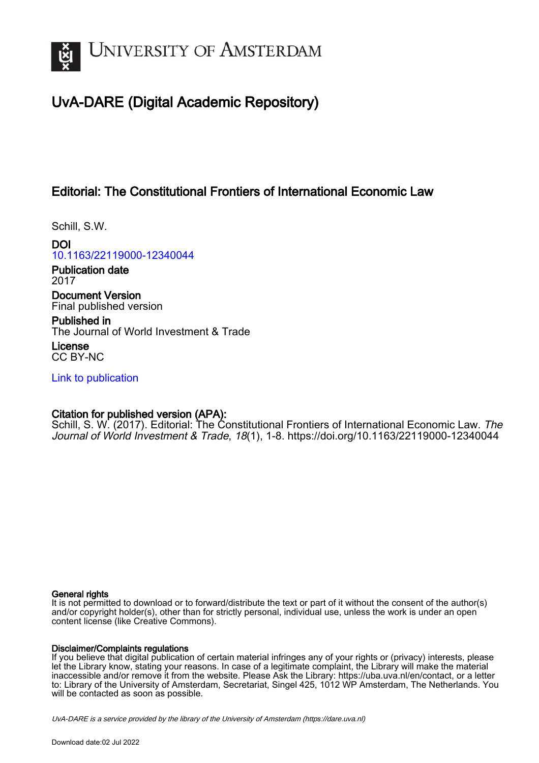

# UvA-DARE (Digital Academic Repository)

## Editorial: The Constitutional Frontiers of International Economic Law

Schill, S.W.

DOI [10.1163/22119000-12340044](https://doi.org/10.1163/22119000-12340044)

Publication date 2017

Document Version Final published version

Published in The Journal of World Investment & Trade

License CC BY-NC

[Link to publication](https://dare.uva.nl/personal/pure/en/publications/editorial-the-constitutional-frontiers-of-international-economic-law(875b6bcb-1d76-4b71-b4a6-ed9b44d1d8d2).html)

## Citation for published version (APA):

Schill, S. W. (2017). Editorial: The Constitutional Frontiers of International Economic Law. The Journal of World Investment & Trade, 18(1), 1-8. <https://doi.org/10.1163/22119000-12340044>

## General rights

It is not permitted to download or to forward/distribute the text or part of it without the consent of the author(s) and/or copyright holder(s), other than for strictly personal, individual use, unless the work is under an open content license (like Creative Commons).

## Disclaimer/Complaints regulations

If you believe that digital publication of certain material infringes any of your rights or (privacy) interests, please let the Library know, stating your reasons. In case of a legitimate complaint, the Library will make the material inaccessible and/or remove it from the website. Please Ask the Library: https://uba.uva.nl/en/contact, or a letter to: Library of the University of Amsterdam, Secretariat, Singel 425, 1012 WP Amsterdam, The Netherlands. You will be contacted as soon as possible.

UvA-DARE is a service provided by the library of the University of Amsterdam (http*s*://dare.uva.nl)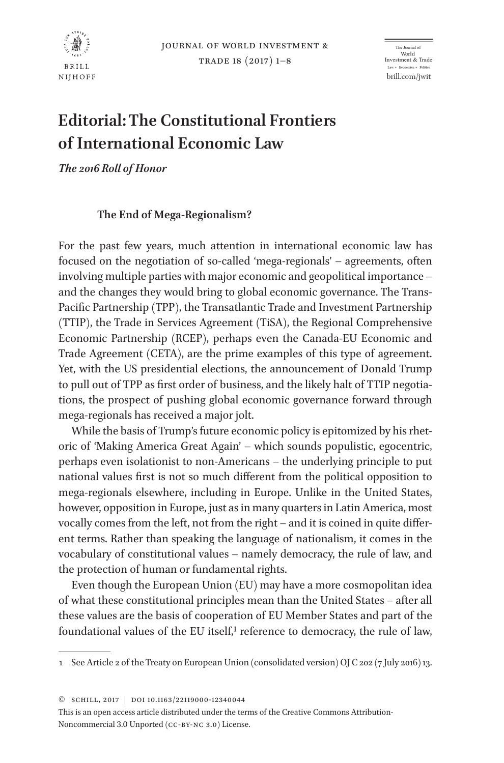

The Journal of World world<br>Investment & Trade Law \* Fconomics \* Polit brill.com/jwit

## **Editorial: The Constitutional Frontiers of International Economic Law**

*The 2016 Roll of Honor*

### **The End of Mega-Regionalism?**

For the past few years, much attention in international economic law has focused on the negotiation of so-called 'mega-regionals' – agreements, often involving multiple parties with major economic and geopolitical importance – and the changes they would bring to global economic governance. The Trans-Pacific Partnership (TPP), the Transatlantic Trade and Investment Partnership (TTIP), the Trade in Services Agreement (TiSA), the Regional Comprehensive Economic Partnership (RCEP), perhaps even the Canada-EU Economic and Trade Agreement (CETA), are the prime examples of this type of agreement. Yet, with the US presidential elections, the announcement of Donald Trump to pull out of TPP as first order of business, and the likely halt of TTIP negotiations, the prospect of pushing global economic governance forward through mega-regionals has received a major jolt.

While the basis of Trump's future economic policy is epitomized by his rhetoric of 'Making America Great Again' – which sounds populistic, egocentric, perhaps even isolationist to non-Americans – the underlying principle to put national values first is not so much different from the political opposition to mega-regionals elsewhere, including in Europe. Unlike in the United States, however, opposition in Europe, just as in many quarters in Latin America, most vocally comes from the left, not from the right – and it is coined in quite different terms. Rather than speaking the language of nationalism, it comes in the vocabulary of constitutional values – namely democracy, the rule of law, and the protection of human or fundamental rights.

Even though the European Union (EU) may have a more cosmopolitan idea of what these constitutional principles mean than the United States – after all these values are the basis of cooperation of EU Member States and part of the foundational values of the EU itself,<sup>1</sup> reference to democracy, the rule of law,

<sup>1</sup> See Article 2 of the Treaty on European Union (consolidated version) OJ C 202 (7 July 2016) 13.

<sup>©</sup> SCHILL, 2017 | DOI 10.1163/22119000-12340044

This is an open access article distributed under the terms of the Creative Commons Attribution-Noncommercial 3.0 Unported (CC-BY-NC 3.0) License.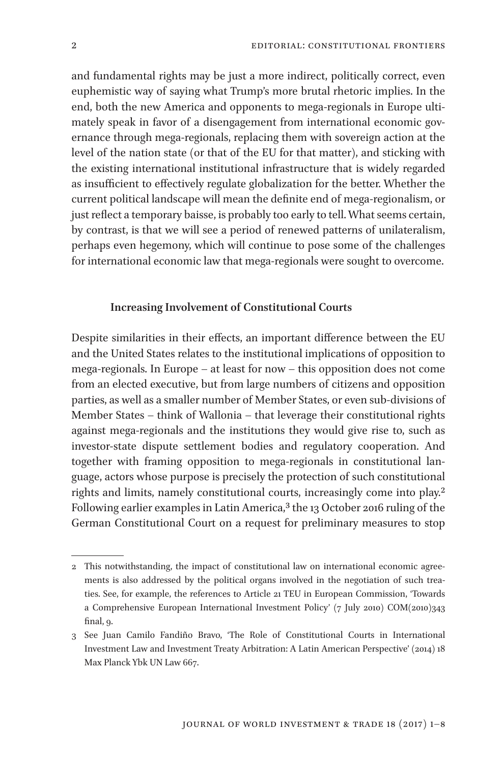and fundamental rights may be just a more indirect, politically correct, even euphemistic way of saying what Trump's more brutal rhetoric implies. In the end, both the new America and opponents to mega-regionals in Europe ultimately speak in favor of a disengagement from international economic governance through mega-regionals, replacing them with sovereign action at the level of the nation state (or that of the EU for that matter), and sticking with the existing international institutional infrastructure that is widely regarded as insufficient to effectively regulate globalization for the better. Whether the current political landscape will mean the definite end of mega-regionalism, or just reflect a temporary baisse, is probably too early to tell. What seems certain, by contrast, is that we will see a period of renewed patterns of unilateralism, perhaps even hegemony, which will continue to pose some of the challenges for international economic law that mega-regionals were sought to overcome.

#### **Increasing Involvement of Constitutional Courts**

Despite similarities in their effects, an important difference between the EU and the United States relates to the institutional implications of opposition to mega-regionals. In Europe – at least for now – this opposition does not come from an elected executive, but from large numbers of citizens and opposition parties, as well as a smaller number of Member States, or even sub-divisions of Member States – think of Wallonia – that leverage their constitutional rights against mega-regionals and the institutions they would give rise to, such as investor-state dispute settlement bodies and regulatory cooperation. And together with framing opposition to mega-regionals in constitutional language, actors whose purpose is precisely the protection of such constitutional rights and limits, namely constitutional courts, increasingly come into play.2 Following earlier examples in Latin America,<sup>3</sup> the 13 October 2016 ruling of the German Constitutional Court on a request for preliminary measures to stop

<sup>2</sup> This notwithstanding, the impact of constitutional law on international economic agreements is also addressed by the political organs involved in the negotiation of such treaties. See, for example, the references to Article 21 TEU in European Commission, 'Towards a Comprehensive European International Investment Policy' (7 July 2010) COM(2010)343 final, 9.

<sup>3</sup> See Juan Camilo Fandiño Bravo, 'The Role of Constitutional Courts in International Investment Law and Investment Treaty Arbitration: A Latin American Perspective' (2014) 18 Max Planck Ybk UN Law 667.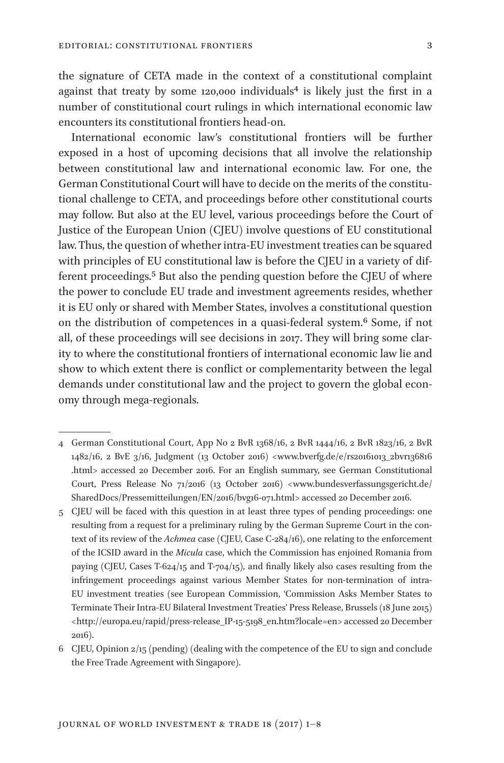the signature of CETA made in the context of a constitutional complaint against that treaty by some 120,000 individuals<sup>4</sup> is likely just the first in a number of constitutional court rulings in which international economic law encounters its constitutional frontiers head-on.

International economic law's constitutional frontiers will be further exposed in a host of upcoming decisions that all involve the relationship between constitutional law and international economic law. For one, the German Constitutional Court will have to decide on the merits of the constitutional challenge to CETA, and proceedings before other constitutional courts may follow. But also at the EU level, various proceedings before the Court of Justice of the European Union (CJEU) involve questions of EU constitutional law. Thus, the question of whether intra-EU investment treaties can be squared with principles of EU constitutional law is before the CJEU in a variety of different proceedings.5 But also the pending question before the CJEU of where the power to conclude EU trade and investment agreements resides, whether it is EU only or shared with Member States, involves a constitutional question on the distribution of competences in a quasi-federal system.6 Some, if not all, of these proceedings will see decisions in 2017. They will bring some clarity to where the constitutional frontiers of international economic law lie and show to which extent there is conflict or complementarity between the legal demands under constitutional law and the project to govern the global economy through mega-regionals.

- 4 German Constitutional Court, App No 2 BvR 1368/16, 2 BvR 1444/16, 2 BvR 1823/16, 2 BvR 1482/16, 2 BvE 3/16, Judgment (13 October 2016) <www.bverfg.de/e/rs20161013\_2bvr136816 .html> accessed 20 December 2016. For an English summary, see German Constitutional Court, Press Release No 71/2016 (13 October 2016) <www.bundesverfassungsgericht.de/ SharedDocs/Pressemitteilungen/EN/2016/bvg16-071.html> accessed 20 December 2016.
- 5 CJEU will be faced with this question in at least three types of pending proceedings: one resulting from a request for a preliminary ruling by the German Supreme Court in the context of its review of the *Achmea* case (CJEU, Case C-284/16), one relating to the enforcement of the ICSID award in the *Micula* case, which the Commission has enjoined Romania from paying (CJEU, Cases T-624/15 and T-704/15), and finally likely also cases resulting from the infringement proceedings against various Member States for non-termination of intra-EU investment treaties (see European Commission, 'Commission Asks Member States to Terminate Their Intra-EU Bilateral Investment Treaties' Press Release, Brussels (18 June 2015) <http://europa.eu/rapid/press-release\_IP-15-5198\_en.htm?locale=en> accessed 20 December 2016).
- 6 CJEU, Opinion 2/15 (pending) (dealing with the competence of the EU to sign and conclude the Free Trade Agreement with Singapore).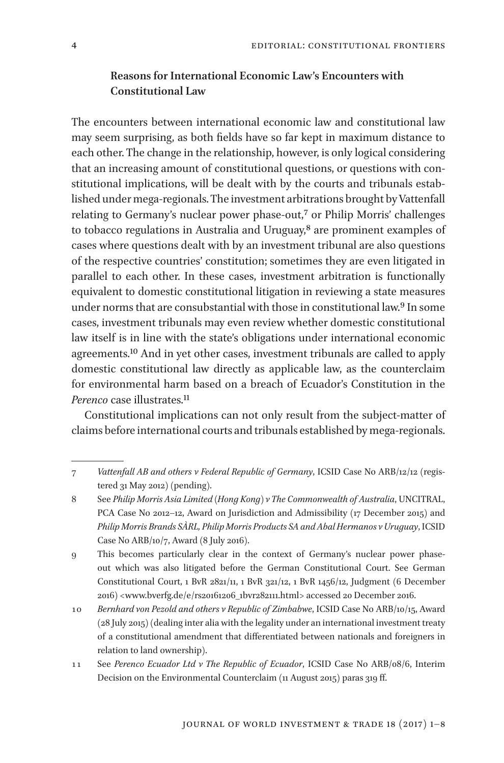## **Reasons for International Economic Law's Encounters with Constitutional Law**

The encounters between international economic law and constitutional law may seem surprising, as both fields have so far kept in maximum distance to each other. The change in the relationship, however, is only logical considering that an increasing amount of constitutional questions, or questions with constitutional implications, will be dealt with by the courts and tribunals established under mega-regionals. The investment arbitrations brought by Vattenfall relating to Germany's nuclear power phase-out,<sup>7</sup> or Philip Morris' challenges to tobacco regulations in Australia and Uruguay,<sup>8</sup> are prominent examples of cases where questions dealt with by an investment tribunal are also questions of the respective countries' constitution; sometimes they are even litigated in parallel to each other. In these cases, investment arbitration is functionally equivalent to domestic constitutional litigation in reviewing a state measures under norms that are consubstantial with those in constitutional law.9 In some cases, investment tribunals may even review whether domestic constitutional law itself is in line with the state's obligations under international economic agreements.10 And in yet other cases, investment tribunals are called to apply domestic constitutional law directly as applicable law, as the counterclaim for environmental harm based on a breach of Ecuador's Constitution in the *Perenco* case illustrates.<sup>11</sup>

Constitutional implications can not only result from the subject-matter of claims before international courts and tribunals established by mega-regionals.

<sup>7</sup> *Vattenfall AB and others v Federal Republic of Germany*, ICSID Case No ARB/12/12 (registered 31 May 2012) (pending).

<sup>8</sup> See *Philip Morris Asia Limited (Hong Kong) v The Commonwealth of Australia*, UNCITRAL, PCA Case No 2012–12, Award on Jurisdiction and Admissibility (17 December 2015) and *Philip Morris Brands SÀRL, Philip Morris Products SA and Abal Hermanos v Uruguay*, ICSID Case No ARB/10/7, Award (8 July 2016).

<sup>9</sup> This becomes particularly clear in the context of Germany's nuclear power phaseout which was also litigated before the German Constitutional Court. See German Constitutional Court, 1 BvR 2821/11, 1 BvR 321/12, 1 BvR 1456/12, Judgment (6 December 2016) <www.bverfg.de/e/rs20161206\_1bvr282111.html> accessed 20 December 2016.

<sup>10</sup> *Bernhard von Pezold and others v Republic of Zimbabwe*, ICSID Case No ARB/10/15, Award (28 July 2015) (dealing inter alia with the legality under an international investment treaty of a constitutional amendment that differentiated between nationals and foreigners in relation to land ownership).

<sup>11</sup> See *Perenco Ecuador Ltd v The Republic of Ecuador*, ICSID Case No ARB/08/6, Interim Decision on the Environmental Counterclaim (11 August 2015) paras 319 ff.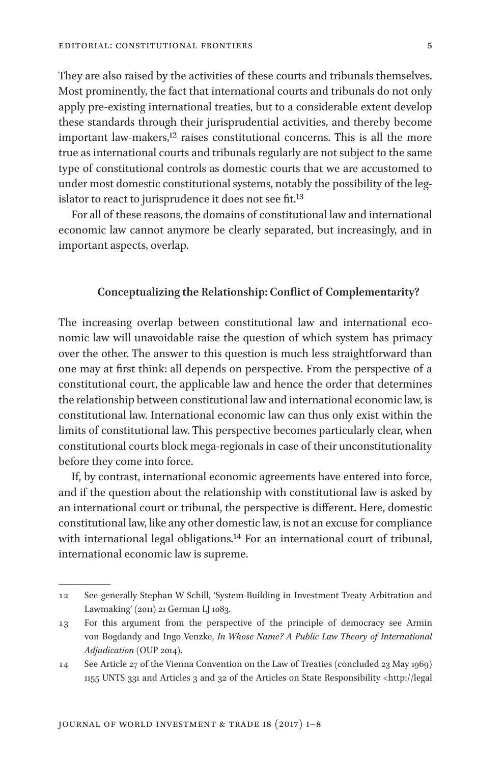They are also raised by the activities of these courts and tribunals themselves. Most prominently, the fact that international courts and tribunals do not only apply pre-existing international treaties, but to a considerable extent develop these standards through their jurisprudential activities, and thereby become important law-makers,<sup>12</sup> raises constitutional concerns. This is all the more true as international courts and tribunals regularly are not subject to the same type of constitutional controls as domestic courts that we are accustomed to under most domestic constitutional systems, notably the possibility of the legislator to react to jurisprudence it does not see fit.<sup>13</sup>

For all of these reasons, the domains of constitutional law and international economic law cannot anymore be clearly separated, but increasingly, and in important aspects, overlap.

### **Conceptualizing the Relationship: Conflict of Complementarity?**

The increasing overlap between constitutional law and international economic law will unavoidable raise the question of which system has primacy over the other. The answer to this question is much less straightforward than one may at first think: all depends on perspective. From the perspective of a constitutional court, the applicable law and hence the order that determines the relationship between constitutional law and international economic law, is constitutional law. International economic law can thus only exist within the limits of constitutional law. This perspective becomes particularly clear, when constitutional courts block mega-regionals in case of their unconstitutionality before they come into force.

If, by contrast, international economic agreements have entered into force, and if the question about the relationship with constitutional law is asked by an international court or tribunal, the perspective is different. Here, domestic constitutional law, like any other domestic law, is not an excuse for compliance with international legal obligations.<sup>14</sup> For an international court of tribunal, international economic law is supreme.

<sup>12</sup> See generally Stephan W Schill, 'System-Building in Investment Treaty Arbitration and Lawmaking' (2011) 21 German LJ 1083.

<sup>13</sup> For this argument from the perspective of the principle of democracy see Armin von Bogdandy and Ingo Venzke, *In Whose Name? A Public Law Theory of International Adjudication* (OUP 2014).

<sup>14</sup> See Article 27 of the Vienna Convention on the Law of Treaties (concluded 23 May 1969) 1155 UNTS 331 and Articles 3 and 32 of the Articles on State Responsibility <http://legal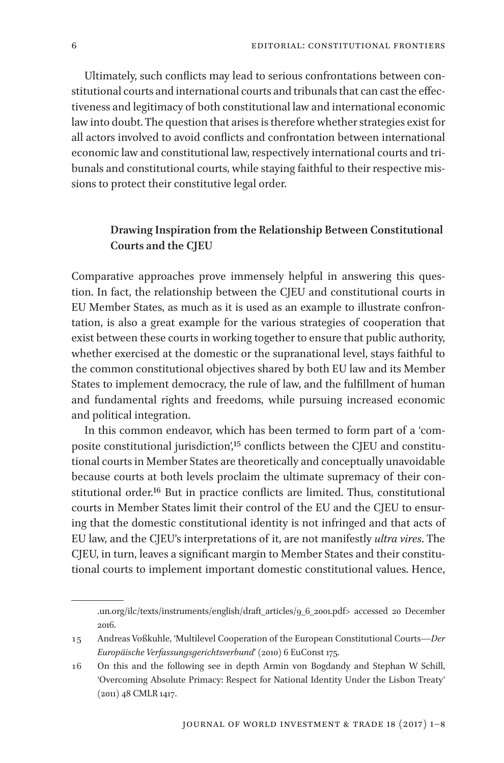Ultimately, such conflicts may lead to serious confrontations between constitutional courts and international courts and tribunals that can cast the effectiveness and legitimacy of both constitutional law and international economic law into doubt. The question that arises is therefore whether strategies exist for all actors involved to avoid conflicts and confrontation between international economic law and constitutional law, respectively international courts and tribunals and constitutional courts, while staying faithful to their respective missions to protect their constitutive legal order.

## **Drawing Inspiration from the Relationship Between Constitutional Courts and the CJEU**

Comparative approaches prove immensely helpful in answering this question. In fact, the relationship between the CJEU and constitutional courts in EU Member States, as much as it is used as an example to illustrate confrontation, is also a great example for the various strategies of cooperation that exist between these courts in working together to ensure that public authority, whether exercised at the domestic or the supranational level, stays faithful to the common constitutional objectives shared by both EU law and its Member States to implement democracy, the rule of law, and the fulfillment of human and fundamental rights and freedoms, while pursuing increased economic and political integration.

In this common endeavor, which has been termed to form part of a 'composite constitutional jurisdiction',15 conflicts between the CJEU and constitutional courts in Member States are theoretically and conceptually unavoidable because courts at both levels proclaim the ultimate supremacy of their constitutional order.16 But in practice conflicts are limited. Thus, constitutional courts in Member States limit their control of the EU and the CJEU to ensuring that the domestic constitutional identity is not infringed and that acts of EU law, and the CJEU's interpretations of it, are not manifestly *ultra vires*. The CJEU, in turn, leaves a significant margin to Member States and their constitutional courts to implement important domestic constitutional values. Hence,

<sup>.</sup>un.org/ilc/texts/instruments/english/draft\_articles/9\_6\_2001.pdf> accessed 20 December 2016.

<sup>15</sup> Andreas Voßkuhle, 'Multilevel Cooperation of the European Constitutional Courts—*Der Europäische Verfassungsgerichtsverbund*' (2010) 6 EuConst 175.

<sup>16</sup> On this and the following see in depth Armin von Bogdandy and Stephan W Schill, 'Overcoming Absolute Primacy: Respect for National Identity Under the Lisbon Treaty' (2011) 48 CMLR 1417.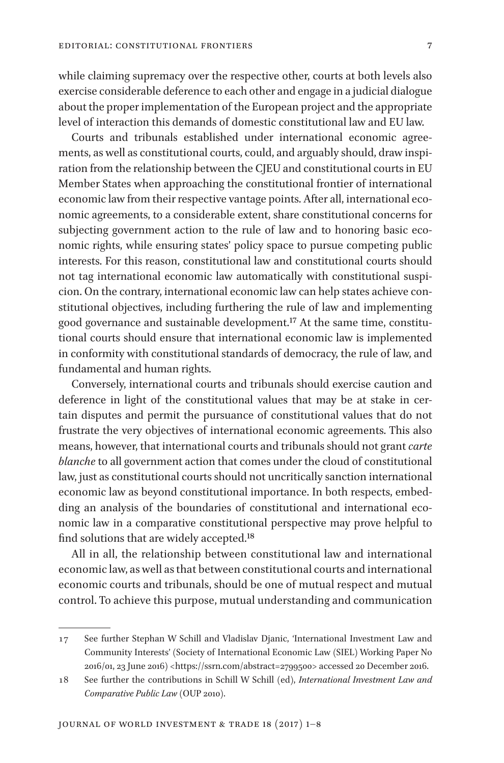while claiming supremacy over the respective other, courts at both levels also exercise considerable deference to each other and engage in a judicial dialogue about the proper implementation of the European project and the appropriate level of interaction this demands of domestic constitutional law and EU law.

Courts and tribunals established under international economic agreements, as well as constitutional courts, could, and arguably should, draw inspiration from the relationship between the CJEU and constitutional courts in EU Member States when approaching the constitutional frontier of international economic law from their respective vantage points. After all, international economic agreements, to a considerable extent, share constitutional concerns for subjecting government action to the rule of law and to honoring basic economic rights, while ensuring states' policy space to pursue competing public interests. For this reason, constitutional law and constitutional courts should not tag international economic law automatically with constitutional suspicion. On the contrary, international economic law can help states achieve constitutional objectives, including furthering the rule of law and implementing good governance and sustainable development.17 At the same time, constitutional courts should ensure that international economic law is implemented in conformity with constitutional standards of democracy, the rule of law, and fundamental and human rights.

Conversely, international courts and tribunals should exercise caution and deference in light of the constitutional values that may be at stake in certain disputes and permit the pursuance of constitutional values that do not frustrate the very objectives of international economic agreements. This also means, however, that international courts and tribunals should not grant *carte blanche* to all government action that comes under the cloud of constitutional law, just as constitutional courts should not uncritically sanction international economic law as beyond constitutional importance. In both respects, embedding an analysis of the boundaries of constitutional and international economic law in a comparative constitutional perspective may prove helpful to find solutions that are widely accepted.18

All in all, the relationship between constitutional law and international economic law, as well as that between constitutional courts and international economic courts and tribunals, should be one of mutual respect and mutual control. To achieve this purpose, mutual understanding and communication

<sup>17</sup> See further Stephan W Schill and Vladislav Djanic, 'International Investment Law and Community Interests' (Society of International Economic Law (SIEL) Working Paper No 2016/01, 23 June 2016) <https://ssrn.com/abstract=2799500> accessed 20 December 2016.

<sup>18</sup> See further the contributions in Schill W Schill (ed), *International Investment Law and Comparative Public Law* (OUP 2010).